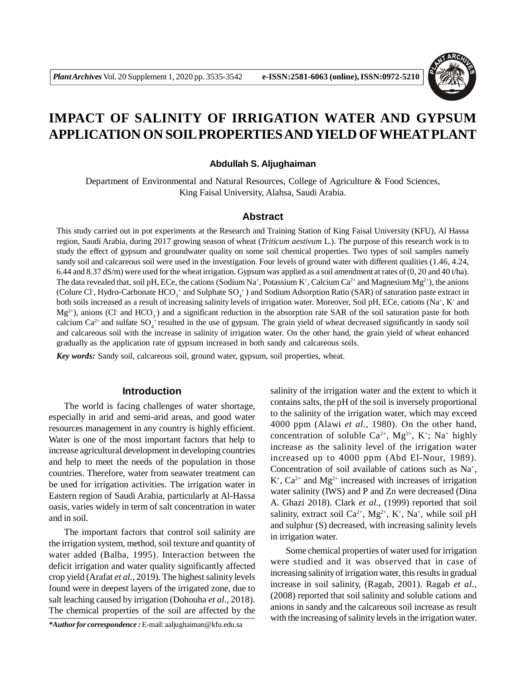

# **IMPACT OF SALINITY OF IRRIGATION WATER AND GYPSUM APPLICATION ON SOIL PROPERTIES AND YIELD OFWHEAT PLANT**

#### **Abdullah S. Aljughaiman**

Department of Environmental and Natural Resources, College of Agriculture & Food Sciences, King Faisal University, Alahsa, Saudi Arabia.

#### **Abstract**

This study carried out in pot experiments at the Research and Training Station of King Faisal University (KFU), Al Hassa region, Saudi Arabia, during 2017 growing season of wheat (*Triticum aestivum* L.). The purpose of this research work is to study the effect of gypsum and groundwater quality on some soil chemical properties. Two types of soil samples namely sandy soil and calcareous soil were used in the investigation. Four levels of ground water with different qualities (1.46, 4.24, 6.44 and 8.37 dS/m) were used for the wheat irrigation. Gypsum was applied as a soil amendment at rates of (0, 20 and 40 t/ha). The data revealed that, soil pH, ECe, the cations (Sodium Na<sup>+</sup>, Potassium K<sup>+</sup>, Calcium Ca<sup>2+</sup> and Magnesium Mg<sup>2+</sup>), the anions (Colure Cl<sup>-</sup>, Hydro-Carbonate  $HCO_3^+$  and Sulphate SO<sub>4</sub><sup>+</sup>) and Sodium Adsorption Ratio (SAR) of saturation paste extract in both soils increased as a result of increasing salinity levels of irrigation water. Moreover, Soil pH, ECe, cations (Na<sup>+</sup>, K<sup>+</sup> and  $Mg^{2+}$ ), anions (Cl and HCO<sub>3</sub>) and a significant reduction in the absorption rate SAR of the soil saturation paste for both calcium  $Ca^{2+}$  and sulfate  $SO_4^+$  resulted in the use of gypsum. The grain yield of wheat decreased significantly in sandy soil and calcareous soil with the increase in salinity of irrigation water. On the other hand, the grain yield of wheat enhanced gradually as the application rate of gypsum increased in both sandy and calcareous soils.

*Key words:* Sandy soil, calcareous soil, ground water, gypsum, soil properties, wheat.

### **Introduction**

The world is facing challenges of water shortage, especially in arid and semi-arid areas, and good water resources management in any country is highly efficient. Water is one of the most important factors that help to increase agricultural development in developing countries and help to meet the needs of the population in those countries. Therefore, water from seawater treatment can be used for irrigation activities. The irrigation water in Eastern region of Saudi Arabia, particularly at Al-Hassa oasis, varies widely in term of salt concentration in water and in soil.

The important factors that control soil salinity are the irrigation system, method, soil texture and quantity of water added (Balba, 1995). Interaction between the deficit irrigation and water quality significantly affected crop yield (Arafat *et al.,* 2019). The highest salinity levels found were in deepest layers of the irrigated zone, due to salt leaching caused by irrigation (Dohouha *et al.,* 2018). The chemical properties of the soil are affected by the

*\*Author for correspondence :* E-mail: aaljughaiman@kfu.edu.sa

salinity of the irrigation water and the extent to which it contains salts, the pH of the soil is inversely proportional to the salinity of the irrigation water, which may exceed 4000 ppm (Alawi *et al.,* 1980). On the other hand, concentration of soluble  $Ca^{2+}$ ,  $Mg^{2+}$ , K<sup>+</sup>; Na<sup>+</sup> highly increase as the salinity level of the irrigation water increased up to 4000 ppm (Abd El-Nour, 1989). Concentration of soil available of cations such as Na<sup>+</sup>,  $K^+$ ,  $Ca^{2+}$  and  $Mg^{2+}$  increased with increases of irrigation water salinity (IWS) and P and Zn were decreased (Dina A. Ghazi 2018). Clark *et al.,* (1999) reported that soil salinity, extract soil  $Ca^{2+}$ ,  $Mg^{2+}$ ,  $K^+$ , Na<sup>+</sup>, while soil pH and sulphur (S) decreased, with increasing salinity levels in irrigation water.

Some chemical properties of water used for irrigation were studied and it was observed that in case of increasing salinity of irrigation water, this results in gradual increase in soil salinity, (Ragab, 2001). Ragab *et al.,* (2008) reported that soil salinity and soluble cations and anions in sandy and the calcareous soil increase as result with the increasing of salinity levels in the irrigation water.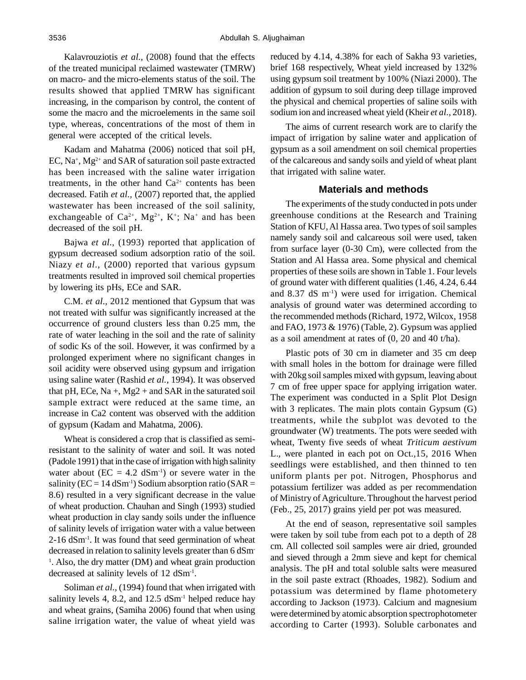Kalavrouziotis *et al.,* (2008) found that the effects of the treated municipal reclaimed wastewater (TMRW) on macro- and the micro-elements status of the soil. The results showed that applied TMRW has significant increasing, in the comparison by control, the content of some the macro and the microelements in the same soil type, whereas, concentrations of the most of them in general were accepted of the critical levels.

Kadam and Mahatma (2006) noticed that soil pH, EC, Na<sup>+</sup> , Mg2+ and SAR of saturation soil paste extracted has been increased with the saline water irrigation treatments, in the other hand  $Ca^{2+}$  contents has been decreased. Fatih *et al.,* (2007) reported that, the applied wastewater has been increased of the soil salinity, exchangeable of  $Ca^{2+}$ ,  $Mg^{2+}$ ,  $K^+$ ; Na<sup>+</sup> and has been decreased of the soil pH.

Bajwa *et al.,* (1993) reported that application of gypsum decreased sodium adsorption ratio of the soil. Niazy *et al.,* (2000) reported that various gypsum treatments resulted in improved soil chemical properties by lowering its pHs, ECe and SAR.

C.M. *et al.,* 2012 mentioned that Gypsum that was not treated with sulfur was significantly increased at the occurrence of ground clusters less than 0.25 mm, the rate of water leaching in the soil and the rate of salinity of sodic Ks of the soil. However, it was confirmed by a prolonged experiment where no significant changes in soil acidity were observed using gypsum and irrigation using saline water (Rashid *et al.,* 1994). It was observed that pH, ECe,  $Na +$ ,  $Mg2 +$  and SAR in the saturated soil sample extract were reduced at the same time, an increase in Ca2 content was observed with the addition of gypsum (Kadam and Mahatma, 2006).

Wheat is considered a crop that is classified as semiresistant to the salinity of water and soil. It was noted (Padole 1991) that in the case of irrigation with high salinity water about ( $EC = 4.2$  dSm<sup>-1</sup>) or severe water in the salinity ( $EC = 14$  dSm<sup>-1</sup>) Sodium absorption ratio (SAR = 8.6) resulted in a very significant decrease in the value of wheat production. Chauhan and Singh (1993) studied wheat production in clay sandy soils under the influence of salinity levels of irrigation water with a value between  $2\n-16$  dSm<sup>-1</sup>. It was found that seed germination of wheat decreased in relation to salinity levels greater than 6 dSm-<sup>1</sup>. Also, the dry matter (DM) and wheat grain production decreased at salinity levels of 12 dSm<sup>-1</sup>.

Soliman *et al.*, (1994) found that when irrigated with salinity levels 4, 8.2, and  $12.5$  dSm<sup>-1</sup> helped reduce hay and wheat grains, (Samiha 2006) found that when using saline irrigation water, the value of wheat yield was reduced by 4.14, 4.38% for each of Sakha 93 varieties, brief 168 respectively, Wheat yield increased by 132% using gypsum soil treatment by 100% (Niazi 2000). The addition of gypsum to soil during deep tillage improved the physical and chemical properties of saline soils with sodium ion and increased wheat yield (Kheir *et al.,* 2018).

The aims of current research work are to clarify the impact of irrigation by saline water and application of gypsum as a soil amendment on soil chemical properties of the calcareous and sandy soils and yield of wheat plant that irrigated with saline water.

#### **Materials and methods**

The experiments of the study conducted in pots under greenhouse conditions at the Research and Training Station of KFU, Al Hassa area. Two types of soil samples namely sandy soil and calcareous soil were used, taken from surface layer (0-30 Cm), were collected from the Station and Al Hassa area. Some physical and chemical properties of these soils are shown in Table 1. Four levels of ground water with different qualities (1.46, 4.24, 6.44 and  $8.37$  dS m<sup>-1</sup>) were used for irrigation. Chemical analysis of ground water was determined according to the recommended methods (Richard, 1972, Wilcox, 1958 and FAO, 1973 & 1976) (Table, 2). Gypsum was applied as a soil amendment at rates of (0, 20 and 40 t/ha).

Plastic pots of 30 cm in diameter and 35 cm deep with small holes in the bottom for drainage were filled with 20kg soil samples mixed with gypsum, leaving about 7 cm of free upper space for applying irrigation water. The experiment was conducted in a Split Plot Design with 3 replicates. The main plots contain Gypsum (G) treatments, while the subplot was devoted to the groundwater (W) treatments. The pots were seeded with wheat, Twenty five seeds of wheat *Triticum aestivum* L., were planted in each pot on Oct.,15, 2016 When seedlings were established, and then thinned to ten uniform plants per pot. Nitrogen, Phosphorus and potassium fertilizer was added as per recommendation of Ministry of Agriculture. Throughout the harvest period (Feb., 25, 2017) grains yield per pot was measured.

At the end of season, representative soil samples were taken by soil tube from each pot to a depth of 28 cm. All collected soil samples were air dried, grounded and sieved through a 2mm sieve and kept for chemical analysis. The pH and total soluble salts were measured in the soil paste extract (Rhoades, 1982). Sodium and potassium was determined by flame photometery according to Jackson (1973). Calcium and magnesium were determined by atomic absorption spectrophotometer according to Carter (1993). Soluble carbonates and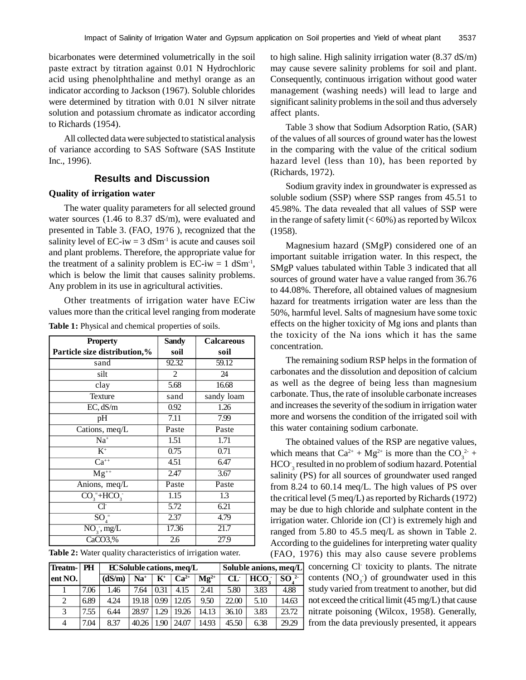bicarbonates were determined volumetrically in the soil paste extract by titration against 0.01 N Hydrochloric acid using phenolphthaline and methyl orange as an indicator according to Jackson (1967). Soluble chlorides were determined by titration with 0.01 N silver nitrate solution and potassium chromate as indicator according to Richards (1954).

All collected data were subjected to statistical analysis of variance according to SAS Software (SAS Institute Inc., 1996).

# **Results and Discussion**

### **Quality of irrigation water**

The water quality parameters for all selected ground water sources (1.46 to 8.37 dS/m), were evaluated and presented in Table 3. (FAO, 1976 ), recognized that the salinity level of  $EC-iw = 3 dSm^{-1}$  is acute and causes soil and plant problems. Therefore, the appropriate value for the treatment of a salinity problem is  $EC-iw = 1 dSm^{-1}$ , which is below the limit that causes salinity problems. Any problem in its use in agricultural activities.

Other treatments of irrigation water have ECiw values more than the critical level ranging from moderate Table 1: Physical and chemical properties of soils.

| <b>Property</b>              | <b>Sandy</b>      | <b>Calcareous</b> |
|------------------------------|-------------------|-------------------|
| Particle size distribution,% | soil              | soil              |
| sand                         | 92.32             | 59.12             |
| silt                         | 2                 | 24                |
| clay                         | 5.68              | 16.68             |
| Texture                      | sand              | sandy loam        |
| EC, dS/m                     | 0.92              | 1.26              |
| pH                           | 7.11              | 7.99              |
| Cations, meq/L               | Paste             | Paste             |
| $Na+$                        | 1.51              | 1.71              |
| $K^+$                        | 0.75              | 0.71              |
| $Ca^{++}$                    | 4.51              | 6.47              |
| $\overline{\text{Mg}^{++}}$  | 2.47              | 3.67              |
| Anions, meq/L                | Paste             | Paste             |
| $CO_{3}^{-}+HCO_{3}^{-}$     | $\overline{1.15}$ | 1.3               |
| Cŀ                           | 5.72              | 6.21              |
| $\overline{SO_4}$            | 2.37              | 4.79              |
| $NO_3^-$ , mg/L              | 17.36             | 21.7              |
| CaCO3,%                      | 2.6               | 27.9              |

| Table 2: Water quality characteristics of irrigation water. |  |
|-------------------------------------------------------------|--|
|-------------------------------------------------------------|--|

| Treatm-   PH   |      |        | <b>ECSoluble cations, meq/L</b> |                    |           | Soluble anions, meg/L |       |                  |                 |
|----------------|------|--------|---------------------------------|--------------------|-----------|-----------------------|-------|------------------|-----------------|
| lent NO.       |      | (dS/m) | $Na+$                           | $\mathbf{K}^{\!+}$ | $Ca^{2+}$ | $\mathbf{Mg}^{2+}$    | CL    | HCO <sub>2</sub> | SO <sup>2</sup> |
|                | 7.06 | 1.46   | 7.64                            | 0.31               | 4.15      | 2.41                  | 5.80  | 3.83             | 4.88            |
| 2              | 6.89 | 4.24   | 19.18                           | 0.99               | 12.05     | 9.50                  | 22.00 | 5.10             | 14.63           |
| 3              | 7.55 | 6.44   | 28.97                           | 1.29               | 19.26     | 14.13                 | 36.10 | 3.83             | 23.72           |
| $\overline{4}$ | 7.04 | 8.37   | 40.26                           | $1.90 \;$          | 24.07     | 14.93                 | 45.50 | 6.38             | 29.29           |

to high saline. High salinity irrigation water (8.37 dS/m) may cause severe salinity problems for soil and plant. Consequently, continuous irrigation without good water management (washing needs) will lead to large and significant salinity problems in the soil and thus adversely affect plants.

Table 3 show that Sodium Adsorption Ratio, (SAR) of the values of all sources of ground water has the lowest in the comparing with the value of the critical sodium hazard level (less than 10), has been reported by (Richards, 1972).

Sodium gravity index in groundwater is expressed as soluble sodium (SSP) where SSP ranges from 45.51 to 45.98%. The data revealed that all values of SSP were in the range of safety limit  $(< 60\%)$  as reported by Wilcox (1958).

Magnesium hazard (SMgP) considered one of an important suitable irrigation water. In this respect, the SMgP values tabulated within Table 3 indicated that all sources of ground water have a value ranged from 36.76 to 44.08%. Therefore, all obtained values of magnesium hazard for treatments irrigation water are less than the 50%, harmful level. Salts of magnesium have some toxic effects on the higher toxicity of Mg ions and plants than the toxicity of the Na ions which it has the same concentration.

The remaining sodium RSP helps in the formation of carbonates and the dissolution and deposition of calcium as well as the degree of being less than magnesium carbonate. Thus, the rate of insoluble carbonate increases and increases the severity of the sodium in irrigation water more and worsens the condition of the irrigated soil with this water containing sodium carbonate.

The obtained values of the RSP are negative values, which means that  $Ca^{2+} + Mg^{2+}$  is more than the  $CO_3^{2+}$  + HCO-3 resulted in no problem of sodium hazard. Potential salinity (PS) for all sources of groundwater used ranged from 8.24 to 60.14 meq/L. The high values of PS over the critical level (5 meq/L) as reported by Richards (1972) may be due to high chloride and sulphate content in the irrigation water. Chloride ion (Cl<sup>-</sup>) is extremely high and ranged from 5.80 to 45.5 meq/L as shown in Table 2. According to the guidelines for interpreting water quality (FAO, 1976) this may also cause severe problems

concerning Cl- toxicity to plants. The nitrate contents  $(NO<sub>3</sub>)$  of groundwater used in this study varied from treatment to another, but did not exceed the critical limit (45 mg/L) that cause nitrate poisoning (Wilcox, 1958). Generally, from the data previously presented, it appears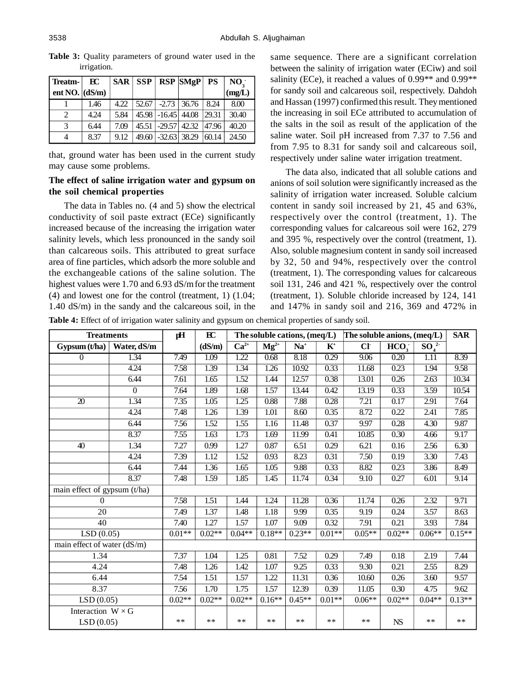| Treatm-                | $_{\rm EC}$ |      |       |                      | $SAR$ $SSP$ $RSP$ $SMgP$ $PS$ |       | $NO$ . |
|------------------------|-------------|------|-------|----------------------|-------------------------------|-------|--------|
| ent NO. $\vert$ (dS/m) |             |      |       |                      |                               |       | (mg/L) |
|                        | 1.46        | 4.22 | 52.67 |                      | $-2.73$ 36.76                 | 8.24  | 8.00   |
| 2                      | 4.24        | 5.84 |       | 45.98 -16.45 44.08   |                               | 29.31 | 30.40  |
| 3                      | 6.44        | 7.09 |       | 45.51 -29.57 42.32   |                               | 47.96 | 40.20  |
| 4                      | 8.37        | 9.12 |       | $49.60$ -32.63 38.29 |                               | 60.14 | 24.50  |

**Table 3:** Quality parameters of ground water used in the irrigation.

that, ground water has been used in the current study may cause some problems.

### **The effect of saline irrigation water and gypsum on the soil chemical properties**

The data in Tables no. (4 and 5) show the electrical conductivity of soil paste extract (ECe) significantly increased because of the increasing the irrigation water salinity levels, which less pronounced in the sandy soil than calcareous soils. This attributed to great surface area of fine particles, which adsorb the more soluble and the exchangeable cations of the saline solution. The highest values were 1.70 and 6.93 dS/mfor the treatment (4) and lowest one for the control (treatment, 1) (1.04; 1.40 dS/m) in the sandy and the calcareous soil, in the same sequence. There are a significant correlation between the salinity of irrigation water (ECiw) and soil salinity (ECe), it reached a values of 0.99<sup>\*\*</sup> and 0.99<sup>\*\*</sup> for sandy soil and calcareous soil, respectively. Dahdoh and Hassan (1997) confirmed this result. They mentioned the increasing in soil ECe attributed to accumulation of the salts in the soil as result of the application of the saline water. Soil pH increased from 7.37 to 7.56 and from 7.95 to 8.31 for sandy soil and calcareous soil, respectively under saline water irrigation treatment.

The data also, indicated that all soluble cations and anions of soil solution were significantly increased as the salinity of irrigation water increased. Soluble calcium content in sandy soil increased by 21, 45 and 63%, respectively over the control (treatment, 1). The corresponding values for calcareous soil were 162, 279 and 395 %, respectively over the control (treatment, 1). Also, soluble magnesium content in sandy soil increased by 32, 50 and 94%, respectively over the control (treatment, 1). The corresponding values for calcareous soil 131, 246 and 421 %, respectively over the control (treatment, 1). Soluble chloride increased by 124, 141 and 147% in sandy soil and 216, 369 and 472% in

**Table 4:** Effect of of irrigation water salinity and gypsum on chemical properties of sandy soil.

|                              | <b>Treatments</b> |          | EC       |          |                             | The soluble cations, (meq/L) |                | The soluble anions, (meq/L) |                  |                             |          |
|------------------------------|-------------------|----------|----------|----------|-----------------------------|------------------------------|----------------|-----------------------------|------------------|-----------------------------|----------|
| Gypsum(t/ha)                 | Water, dS/m       |          | (dS/m)   | $Ca2+$   | $\mathbf{M}\mathbf{g}^{2+}$ | $Na+$                        | $\mathbf{K}^+$ | CI <sub>1</sub>             | $\overline{HCO}$ | $\overline{{\rm SO}_{4}^2}$ |          |
| $\overline{0}$               | 1.34              | 7.49     | 1.09     | 1.22     | 0.68                        | 8.18                         | 0.29           | 9.06                        | 0.20             | 1.11                        | 8.39     |
|                              | 4.24              | 7.58     | 1.39     | 1.34     | 1.26                        | 10.92                        | 0.33           | 11.68                       | 0.23             | 1.94                        | 9.58     |
|                              | 6.44              | 7.61     | 1.65     | 1.52     | 1.44                        | 12.57                        | 0.38           | 13.01                       | 0.26             | 2.63                        | 10.34    |
|                              | $\Omega$          | 7.64     | 1.89     | 1.68     | 1.57                        | 13.44                        | 0.42           | 13.19                       | 0.33             | 3.59                        | 10.54    |
| $\overline{20}$              | 1.34              | 7.35     | 1.05     | 1.25     | 0.88                        | 7.88                         | 0.28           | 7.21                        | 0.17             | 2.91                        | 7.64     |
|                              | 4.24              | 7.48     | 1.26     | 1.39     | 1.01                        | 8.60                         | 0.35           | 8.72                        | 0.22             | 2.41                        | 7.85     |
|                              | 6.44              | 7.56     | 1.52     | 1.55     | 1.16                        | 11.48                        | 0.37           | 9.97                        | 0.28             | 4.30                        | 9.87     |
|                              | 8.37              | 7.55     | 1.63     | 1.73     | 1.69                        | 11.99                        | 0.41           | 10.85                       | 0.30             | 4.66                        | 9.17     |
| 40                           | 1.34              | 7.27     | 0.99     | 1.27     | 0.87                        | 6.51                         | 0.29           | 6.21                        | 0.16             | 2.56                        | 6.30     |
|                              | 4.24              | 7.39     | 1.12     | 1.52     | 0.93                        | 8.23                         | 0.31           | 7.50                        | 0.19             | 3.30                        | 7.43     |
|                              | 6.44              | 7.44     | 1.36     | 1.65     | 1.05                        | 9.88                         | 0.33           | 8.82                        | 0.23             | 3.86                        | 8.49     |
|                              | 8.37              | 7.48     | 1.59     | 1.85     | 1.45                        | 11.74                        | 0.34           | 9.10                        | 0.27             | 6.01                        | 9.14     |
| main effect of gypsum (t/ha) |                   |          |          |          |                             |                              |                |                             |                  |                             |          |
| $\Omega$                     |                   | 7.58     | 1.51     | 1.44     | 1.24                        | 11.28                        | 0.36           | 11.74                       | 0.26             | 2.32                        | 9.71     |
| 20                           |                   | 7.49     | 1.37     | 1.48     | 1.18                        | 9.99                         | 0.35           | 9.19                        | 0.24             | 3.57                        | 8.63     |
| 40                           |                   | 7.40     | 1.27     | 1.57     | 1.07                        | 9.09                         | 0.32           | 7.91                        | 0.21             | 3.93                        | 7.84     |
| LSD(0.05)                    |                   | $0.01**$ | $0.02**$ | $0.04**$ | $0.18**$                    | $0.23**$                     | $0.01**$       | $0.05**$                    | $0.02**$         | $0.06**$                    | $0.15**$ |
| main effect of water (dS/m)  |                   |          |          |          |                             |                              |                |                             |                  |                             |          |
| 1.34                         |                   | 7.37     | 1.04     | 1.25     | 0.81                        | 7.52                         | 0.29           | 7.49                        | 0.18             | 2.19                        | 7.44     |
| 4.24                         |                   | 7.48     | 1.26     | 1.42     | 1.07                        | 9.25                         | 0.33           | 9.30                        | 0.21             | 2.55                        | 8.29     |
| 6.44                         |                   | 7.54     | 1.51     | 1.57     | 1.22                        | 11.31                        | 0.36           | 10.60                       | 0.26             | 3.60                        | 9.57     |
| 8.37                         |                   | 7.56     | 1.70     | 1.75     | 1.57                        | 12.39                        | 0.39           | 11.05                       | 0.30             | 4.75                        | 9.62     |
| LSD(0.05)                    |                   | $0.02**$ | $0.02**$ | $0.02**$ | $0.16**$                    | $0.45**$                     | $0.01**$       | $0.06**$                    | $0.02**$         | $0.04**$                    | $0.13**$ |
| Interaction $W \times G$     |                   |          |          |          |                             |                              |                |                             |                  |                             |          |
| LSD(0.05)                    |                   | **       | **       | $***$    | **                          | $***$                        | **             | $***$                       | ${\rm NS}$       | $**$                        | $***$    |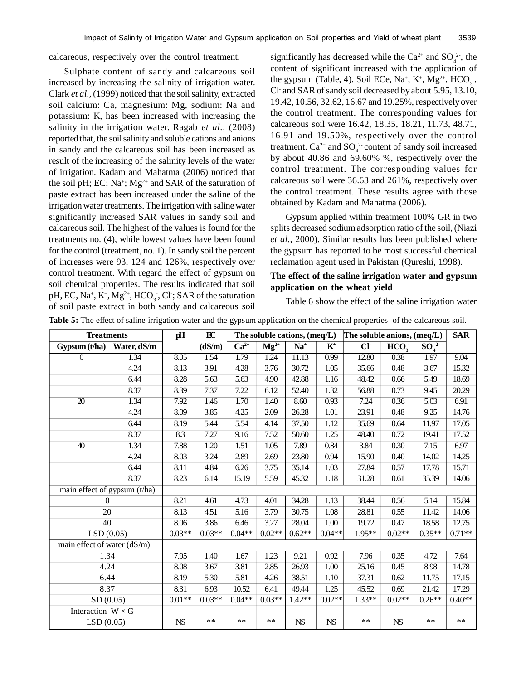calcareous, respectively over the control treatment.

Sulphate content of sandy and calcareous soil increased by increasing the salinity of irrigation water. Clark *et al.,* (1999) noticed that the soil salinity, extracted soil calcium: Ca, magnesium: Mg, sodium: Na and potassium: K, has been increased with increasing the salinity in the irrigation water. Ragab *et al.,* (2008) reported that, the soil salinity and soluble cations and anions in sandy and the calcareous soil has been increased as result of the increasing of the salinity levels of the water of irrigation. Kadam and Mahatma (2006) noticed that the soil pH; EC; Na<sup>+</sup>; Mg<sup>2+</sup> and SAR of the saturation of paste extract has been increased under the saline of the irrigation water treatments. The irrigation with saline water significantly increased SAR values in sandy soil and calcareous soil. The highest of the values is found for the treatments no. (4), while lowest values have been found for the control (treatment, no. 1). In sandy soil the percent of increases were 93, 124 and 126%, respectively over control treatment. With regard the effect of gypsum on soil chemical properties. The results indicated that soil pH, EC, Na<sup>+</sup>, K<sup>+</sup>, Mg<sup>2+</sup>, HCO<sub>3</sub><sup>-</sup>, Cl<sup>-</sup>; SAR of the saturation of soil paste extract in both sandy and calcareous soil

significantly has decreased while the  $Ca^{2+}$  and  $SO_4^{2-}$ , the content of significant increased with the application of the gypsum (Table, 4). Soil ECe, Na<sup>+</sup>, K<sup>+</sup>, Mg<sup>2+</sup>, HCO<sub>3</sub><sup>-</sup>, Cl- and SAR of sandy soil decreased by about 5.95, 13.10, 19.42, 10.56, 32.62, 16.67 and 19.25%, respectively over the control treatment. The corresponding values for calcareous soil were 16.42, 18.35, 18.21, 11.73, 48.71, 16.91 and 19.50%, respectively over the control treatment.  $Ca^{2+}$  and  $SO_4^2$  content of sandy soil increased by about 40.86 and 69.60% %, respectively over the control treatment. The corresponding values for calcareous soil were 36.63 and 261%, respectively over the control treatment. These results agree with those obtained by Kadam and Mahatma (2006).

Gypsum applied within treatment 100% GR in two splits decreased sodium adsorption ratio of the soil, (Niazi *et al.,* 2000). Similar results has been published where the gypsum has reported to be most successful chemical reclamation agent used in Pakistan (Qureshi, 1998).

## **The effect of the saline irrigation water and gypsum application on the wheat yield**

Table 6 show the effect of the saline irrigation water

| Table 5: The effect of saline irrigation water and the gypsum application on the chemical properties of the calcareous soil. |  |  |  |
|------------------------------------------------------------------------------------------------------------------------------|--|--|--|
|                                                                                                                              |  |  |  |

| <b>Treatments</b>            |             | pH        | EC       |           |                    | The soluble cations, (meq/L) |                | The soluble anions, (meq/L) |                  |          |          |
|------------------------------|-------------|-----------|----------|-----------|--------------------|------------------------------|----------------|-----------------------------|------------------|----------|----------|
| Gypsum(t/ha)                 | Water, dS/m |           | (dS/m)   | $Ca^{2+}$ | $\mathbf{Mg}^{2+}$ | $Na+$                        | $\mathbf{K}^+$ | CI <sub>1</sub>             | HCO <sub>3</sub> | $SO_4^2$ |          |
| $\overline{0}$               | 1.34        | 8.05      | 1.54     | 1.79      | 1.24               | 11.13                        | 0.99           | 12.80                       | 0.38             | 1.97     | 9.04     |
|                              | 4.24        | 8.13      | 3.91     | 4.28      | 3.76               | 30.72                        | 1.05           | 35.66                       | 0.48             | 3.67     | 15.32    |
|                              | 6.44        | 8.28      | 5.63     | 5.63      | 4.90               | 42.88                        | 1.16           | 48.42                       | 0.66             | 5.49     | 18.69    |
|                              | 8.37        | 8.39      | 7.37     | 7.22      | 6.12               | 52.40                        | 1.32           | 56.88                       | 0.73             | 9.45     | 20.29    |
| $\overline{20}$              | 1.34        | 7.92      | 1.46     | 1.70      | 1.40               | 8.60                         | 0.93           | 7.24                        | 0.36             | 5.03     | 6.91     |
|                              | 4.24        | 8.09      | 3.85     | 4.25      | 2.09               | 26.28                        | 1.01           | 23.91                       | 0.48             | 9.25     | 14.76    |
|                              | 6.44        | 8.19      | 5.44     | 5.54      | 4.14               | 37.50                        | 1.12           | 35.69                       | 0.64             | 11.97    | 17.05    |
|                              | 8.37        | 8.3       | 7.27     | 9.16      | 7.52               | 50.60                        | 1.25           | 48.40                       | 0.72             | 19.41    | 17.52    |
| 40                           | 1.34        | 7.88      | 1.20     | 1.51      | 1.05               | 7.89                         | 0.84           | 3.84                        | 0.30             | 7.15     | 6.97     |
|                              | 4.24        | 8.03      | 3.24     | 2.89      | 2.69               | 23.80                        | 0.94           | 15.90                       | 0.40             | 14.02    | 14.25    |
|                              | 6.44        | 8.11      | 4.84     | 6.26      | 3.75               | 35.14                        | 1.03           | 27.84                       | 0.57             | 17.78    | 15.71    |
|                              | 8.37        | 8.23      | 6.14     | 15.19     | 5.59               | 45.32                        | 1.18           | 31.28                       | 0.61             | 35.39    | 14.06    |
| main effect of gypsum (t/ha) |             |           |          |           |                    |                              |                |                             |                  |          |          |
| 0                            |             | 8.21      | 4.61     | 4.73      | 4.01               | 34.28                        | 1.13           | 38.44                       | 0.56             | 5.14     | 15.84    |
| 20                           |             | 8.13      | 4.51     | 5.16      | 3.79               | 30.75                        | 1.08           | 28.81                       | 0.55             | 11.42    | 14.06    |
| 40                           |             | 8.06      | 3.86     | 6.46      | 3.27               | 28.04                        | 1.00           | 19.72                       | 0.47             | 18.58    | 12.75    |
| LSD(0.05)                    |             | $0.03**$  | $0.03**$ | $0.04**$  | $0.02**$           | $0.62**$                     | $0.04**$       | 1.95**                      | $0.02**$         | $0.35**$ | $0.71**$ |
| main effect of water (dS/m)  |             |           |          |           |                    |                              |                |                             |                  |          |          |
| 1.34                         |             | 7.95      | 1.40     | 1.67      | 1.23               | 9.21                         | 0.92           | 7.96                        | 0.35             | 4.72     | 7.64     |
| 4.24                         |             | 8.08      | 3.67     | 3.81      | 2.85               | 26.93                        | 1.00           | 25.16                       | 0.45             | 8.98     | 14.78    |
| 6.44                         |             | 8.19      | 5.30     | 5.81      | 4.26               | 38.51                        | 1.10           | 37.31                       | 0.62             | 11.75    | 17.15    |
| 8.37                         |             | 8.31      | 6.93     | 10.52     | 6.41               | 49.44                        | 1.25           | 45.52                       | 0.69             | 21.42    | 17.29    |
| LSD(0.05)                    |             | $0.01**$  | $0.03**$ | $0.04**$  | $0.03**$           | $1.42**$                     | $0.02**$       | $1.33**$                    | $0.02**$         | $0.26**$ | $0.40**$ |
| Interaction $W \times G$     |             |           |          |           |                    |                              |                |                             |                  |          |          |
| LSD(0.05)                    |             | <b>NS</b> | **       | **        | **                 | ${\rm NS}$                   | <b>NS</b>      | **                          | <b>NS</b>        | **       | **       |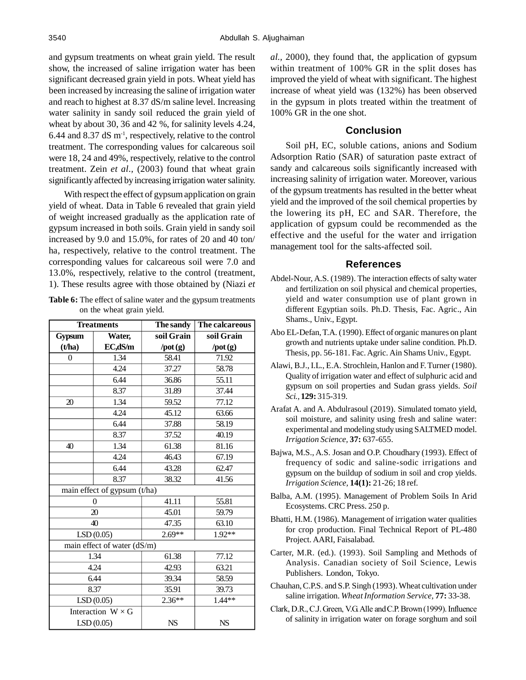and gypsum treatments on wheat grain yield. The result show, the increased of saline irrigation water has been significant decreased grain yield in pots. Wheat yield has been increased by increasing the saline of irrigation water and reach to highest at 8.37 dS/m saline level. Increasing water salinity in sandy soil reduced the grain yield of wheat by about 30, 36 and 42 %, for salinity levels 4.24, 6.44 and 8.37 dS  $m<sup>-1</sup>$ , respectively, relative to the control treatment. The corresponding values for calcareous soil were 18, 24 and 49%, respectively, relative to the control treatment. Zein *et al.,* (2003) found that wheat grain significantly affected by increasing irrigation water salinity.

With respect the effect of gypsum application on grain yield of wheat. Data in Table 6 revealed that grain yield of weight increased gradually as the application rate of gypsum increased in both soils. Grain yield in sandy soil increased by 9.0 and 15.0%, for rates of 20 and 40 ton/ ha, respectively, relative to the control treatment. The corresponding values for calcareous soil were 7.0 and 13.0%, respectively, relative to the control (treatment, 1). These results agree with those obtained by (Niazi *et*

**Table 6:** The effect of saline water and the gypsum treatments on the wheat grain yield.

|          | <b>Treatments</b>            | The sandy          | The calcareous     |
|----------|------------------------------|--------------------|--------------------|
| Gypsum   | Water,                       | soil Grain         | soil Grain         |
| (t/ha)   | EC,dS/m                      | $\gamma$ pot $(g)$ | $\gamma$ pot $(g)$ |
| $\theta$ | 1.34                         | 58.41              | 71.92              |
|          | 4.24                         | 37.27              | 58.78              |
|          | 6.44                         | 36.86              | 55.11              |
|          | 8.37                         | 31.89              | 37.44              |
| 20       | 1.34                         | 59.52              | 77.12              |
|          | 4.24                         | 45.12              | 63.66              |
|          | 6.44                         | 37.88              | 58.19              |
|          | 8.37                         | 37.52              | 40.19              |
| 40       | 1.34                         | 61.38              | 81.16              |
|          | 4.24                         | 46.43              | 67.19              |
|          | 6.44                         | 43.28              | 62.47              |
|          | 8.37                         | 38.32              | 41.56              |
|          | main effect of gypsum (t/ha) |                    |                    |
|          | $\overline{0}$               | 41.11              | 55.81              |
|          | 20                           | 45.01              | 59.79              |
|          | 40                           | 47.35              | 63.10              |
|          | LSD(0.05)                    | $2.69**$           | $1.92**$           |
|          | main effect of water (dS/m)  |                    |                    |
|          | 1.34                         | 61.38              | 77.12              |
|          | 4.24                         | 42.93              | 63.21              |
|          | 6.44                         | 39.34              | 58.59              |
|          | 8.37                         | 35.91              | 39.73              |
|          | LSD(0.05)                    | $2.36**$           | $1.44**$           |
|          | Interaction $W \times G$     |                    |                    |
|          | LSD(0.05)                    | <b>NS</b>          | <b>NS</b>          |

*al.,* 2000), they found that, the application of gypsum within treatment of 100% GR in the split doses has improved the yield of wheat with significant. The highest increase of wheat yield was (132%) has been observed in the gypsum in plots treated within the treatment of 100% GR in the one shot.

### **Conclusion**

Soil pH, EC, soluble cations, anions and Sodium Adsorption Ratio (SAR) of saturation paste extract of sandy and calcareous soils significantly increased with increasing salinity of irrigation water. Moreover, various of the gypsum treatments has resulted in the better wheat yield and the improved of the soil chemical properties by the lowering its pH, EC and SAR. Therefore, the application of gypsum could be recommended as the effective and the useful for the water and irrigation management tool for the salts-affected soil.

#### **References**

- Abdel-Nour, A.S. (1989). The interaction effects of salty water and fertilization on soil physical and chemical properties, yield and water consumption use of plant grown in different Egyptian soils. Ph.D. Thesis, Fac. Agric., Ain Shams., Univ., Egypt.
- Abo EL-Defan, T.A. (1990). Effect of organic manures on plant growth and nutrients uptake under saline condition. Ph.D. Thesis, pp. 56-181. Fac. Agric. Ain Shams Univ., Egypt.
- Alawi, B.J., I.L., E.A. Strochlein, Hanlon and F. Turner (1980). Quality of irrigation water and effect of sulphuric acid and gypsum on soil properties and Sudan grass yields. *Soil Sci.,* **129:** 315-319.
- Arafat A. and A. Abdulrasoul (2019). Simulated tomato yield, soil moisture, and salinity using fresh and saline water: experimental and modeling study using SALTMED model. *Irrigation Science,* **37:** 637-655.
- Bajwa, M.S., A.S. Josan and O.P. Choudhary (1993). Effect of frequency of sodic and saline-sodic irrigations and gypsum on the buildup of sodium in soil and crop yields. *Irrigation Science,* **14(1):** 21-26; 18 ref.
- Balba, A.M. (1995). Management of Problem Soils In Arid Ecosystems. CRC Press. 250 p.
- Bhatti, H.M. (1986). Management of irrigation water qualities for crop production. Final Technical Report of PL-480 Project. AARI, Faisalabad.
- Carter, M.R. (ed.). (1993). Soil Sampling and Methods of Analysis. Canadian society of Soil Science, Lewis Publishers. London, Tokyo.
- Chauhan, C.P.S. and S.P. Singh (1993). Wheat cultivation under saline irrigation. *Wheat Information Service,* **77:** 33-38.
- Clark, D.R., C.J. Green, V.G. Alle and C.P. Brown (1999). Influence of salinity in irrigation water on forage sorghum and soil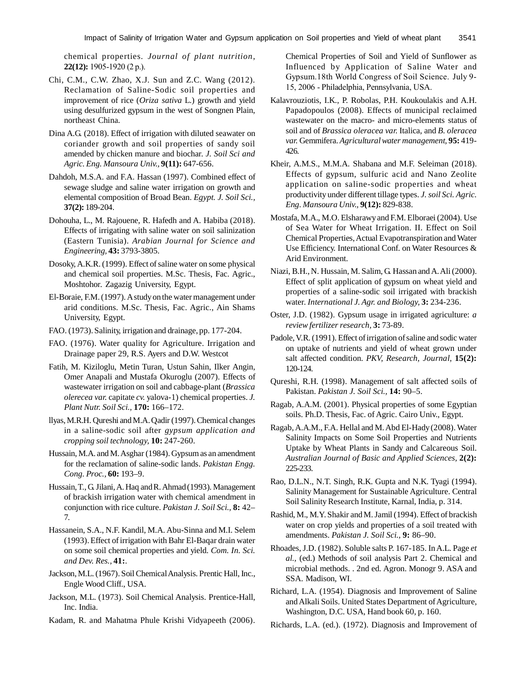chemical properties. *Journal of plant nutrition,* **22(12):** 1905-1920 (2 p.).

- Chi, C.M., C.W. Zhao, X.J. Sun and Z.C. Wang (2012). Reclamation of Saline-Sodic soil properties and improvement of rice (*Oriza sativa* L.) growth and yield using desulfurized gypsum in the west of Songnen Plain, northeast China.
- Dina A.G. (2018). Effect of irrigation with diluted seawater on coriander growth and soil properties of sandy soil amended by chicken manure and biochar. *J. Soil Sci and Agric. Eng. Mansoura Univ.,* **9(11):** 647-656.
- Dahdoh, M.S.A. and F.A. Hassan (1997). Combined effect of sewage sludge and saline water irrigation on growth and elemental composition of Broad Bean. *Egypt. J. Soil Sci.,* **37(2):** 189-204.
- Dohouha, L., M. Rajouene, R. Hafedh and A. Habiba (2018). Effects of irrigating with saline water on soil salinization (Eastern Tunisia). *Arabian Journal for Science and Engineering,* **43:** 3793-3805.
- Dosoky, A.K.R. (1999). Effect of saline water on some physical and chemical soil properties. M.Sc. Thesis, Fac. Agric., Moshtohor. Zagazig University, Egypt.
- El-Boraie, F.M. (1997). A study on the water management under arid conditions. M.Sc. Thesis, Fac. Agric., Ain Shams University, Egypt.
- FAO. (1973). Salinity, irrigation and drainage, pp. 177-204.
- FAO. (1976). Water quality for Agriculture. Irrigation and Drainage paper 29, R.S. Ayers and D.W. Westcot
- Fatih, M. Kiziloglu, Metin Turan, Ustun Sahin, Ilker Angin, Omer Anapali and Mustafa Okuroglu (2007). Effects of wastewater irrigation on soil and cabbage-plant (*Brassica olerecea var.* capitate *cv.* yalova-1) chemical properties. *J. Plant Nutr. Soil Sci.,* **170:** 166–172.
- llyas, M.R.H. Qureshi and M.A. Qadir (1997). Chemical changes in a saline-sodic soil after *gypsum application and cropping soil technology,* **10:** 247-260.
- Hussain, M.A. and M. Asghar (1984). Gypsum as an amendment for the reclamation of saline-sodic lands. *Pakistan Engg. Cong. Proc.,* **60:** 193–9.
- Hussain, T., G. Jilani, A. Haq and R. Ahmad (1993). Management of brackish irrigation water with chemical amendment in conjunction with rice culture. *Pakistan J. Soil Sci.,* **8:** 42– 7.
- Hassanein, S.A., N.F. Kandil, M.A. Abu-Sinna and M.I. Selem (1993). Effect of irrigation with Bahr El-Baqar drain water on some soil chemical properties and yield. *Com. In. Sci. and Dev. Res.,* **41:**.
- Jackson, M.L. (1967). Soil Chemical Analysis. Prentic Hall, Inc., Engle Wood Cliff., USA.
- Jackson, M.L. (1973). Soil Chemical Analysis. Prentice-Hall, Inc. India.
- Kadam, R. and Mahatma Phule Krishi Vidyapeeth (2006).

Chemical Properties of Soil and Yield of Sunflower as Influenced by Application of Saline Water and Gypsum.18th World Congress of Soil Science. July 9- 15, 2006 - Philadelphia, Pennsylvania, USA.

- Kalavrouziotis, I.K., P. Robolas, P.H. Koukoulakis and A.H. Papadopoulos (2008). Effects of municipal reclaimed wastewater on the macro- and micro-elements status of soil and of *Brassica oleracea var.* Italica, and *B. oleracea var.* Gemmifera. *Agricultural water management,* **95:** 419- 426.
- Kheir, A.M.S., M.M.A. Shabana and M.F. Seleiman (2018). Effects of gypsum, sulfuric acid and Nano Zeolite application on saline-sodic properties and wheat productivity under different tillage types. *J. soil Sci. Agric. Eng. Mansoura Univ.,* **9(12):** 829-838.
- Mostafa, M.A., M.O. Elsharawy and F.M. Elboraei (2004). Use of Sea Water for Wheat Irrigation. II. Effect on Soil Chemical Properties, Actual Evapotranspiration and Water Use Efficiency. International Conf. on Water Resources & Arid Environment.
- Niazi, B.H., N. Hussain, M. Salim, G. Hassan and A. Ali (2000). Effect of split application of gypsum on wheat yield and properties of a saline-sodic soil irrigated with brackish water. *International J. Agr. and Biology,* **3:** 234-236.
- Oster, J.D. (1982). Gypsum usage in irrigated agriculture: *a review fertilizer research,* **3:** 73-89.
- Padole, V.R. (1991). Effect of irrigation of saline and sodic water on uptake of nutrients and yield of wheat grown under salt affected condition. *PKV, Research, Journal,* **15(2):** 120-124.
- Qureshi, R.H. (1998). Management of salt affected soils of Pakistan. *Pakistan J. Soil Sci.,* **14:** 90–5.
- Ragab, A.A.M. (2001). Physical properties of some Egyptian soils. Ph.D. Thesis, Fac. of Agric. Cairo Univ., Egypt.
- Ragab, A.A.M., F.A. Hellal and M. Abd El-Hady (2008). Water Salinity Impacts on Some Soil Properties and Nutrients Uptake by Wheat Plants in Sandy and Calcareous Soil. *Australian Journal of Basic and Applied Sciences,* **2(2):** 225-233.
- Rao, D.L.N., N.T. Singh, R.K. Gupta and N.K. Tyagi (1994). Salinity Management for Sustainable Agriculture. Central Soil Salinity Research Institute, Karnal, India, p. 314.
- Rashid, M., M.Y. Shakir and M. Jamil (1994). Effect of brackish water on crop yields and properties of a soil treated with amendments. *Pakistan J. Soil Sci.,* **9:** 86–90.
- Rhoades, J.D. (1982). Soluble salts P. 167-185. In A.L. Page *et al.,* (ed.) Methods of soil analysis Part 2. Chemical and microbial methods. . 2nd ed. Agron. Monogr 9. ASA and SSA. Madison, WI.
- Richard, L.A. (1954). Diagnosis and Improvement of Saline and Alkali Soils. United States Department of Agriculture, Washington, D.C. USA, Hand book 60, p. 160.
- Richards, L.A. (ed.). (1972). Diagnosis and Improvement of